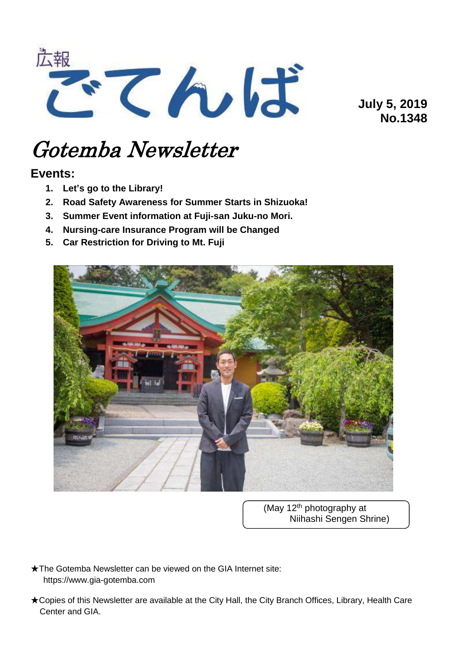

**July 5, 2019 No.1348**

# Gotemba Newsletter

# **Events:**

- **1. Let's go to the Library!**
- **2. Road Safety Awareness for Summer Starts in Shizuoka!**
- **3. Summer Event information at Fuji-san Juku-no Mori.**
- **4. Nursing-care Insurance Program will be Changed**
- **5. Car Restriction for Driving to Mt. Fuji**



(May 12<sup>th</sup> photography at Niihashi Sengen Shrine)

★The Gotemba Newsletter can be viewed on the GIA Internet site: https://www.gia-gotemba.com

★Copies of this Newsletter are available at the City Hall, the City Branch Offices, Library, Health Care Center and GIA.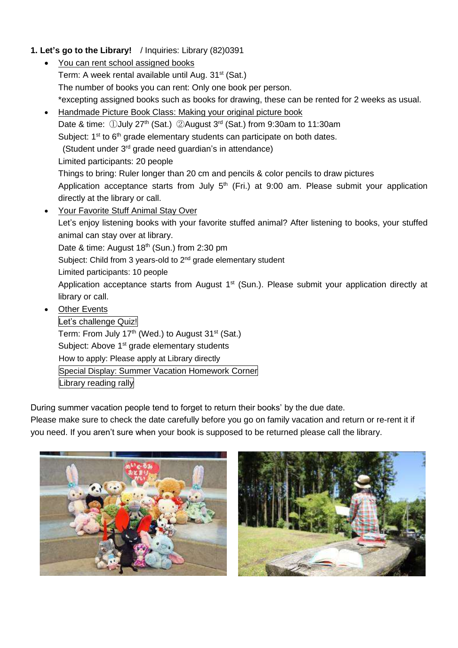# **1. Let's go to the Library!** / Inquiries: Library (82)0391

- You can rent school assigned books Term: A week rental available until Aug. 31<sup>st</sup> (Sat.) The number of books you can rent: Only one book per person. \*excepting assigned books such as books for drawing, these can be rented for 2 weeks as usual.
- Handmade Picture Book Class: Making your original picture book Date & time: ①July 27<sup>th</sup> (Sat.) ②August 3<sup>rd</sup> (Sat.) from 9:30am to 11:30am Subject: 1<sup>st</sup> to 6<sup>th</sup> grade elementary students can participate on both dates. (Student under 3rd grade need guardian's in attendance) Limited participants: 20 people Things to bring: Ruler longer than 20 cm and pencils & color pencils to draw pictures Application acceptance starts from July  $5<sup>th</sup>$  (Fri.) at 9:00 am. Please submit your application directly at the library or call. Your Favorite Stuff Animal Stay Over Let's enjoy listening books with your favorite stuffed animal? After listening to books, your stuffed animal can stay over at library. Date & time: August 18<sup>th</sup> (Sun.) from 2:30 pm Subject: Child from 3 years-old to 2<sup>nd</sup> grade elementary student Limited participants: 10 people Application acceptance starts from August 1<sup>st</sup> (Sun.). Please submit your application directly at library or call.
- Other Events

Let's challenge Quiz! Term: From July 17<sup>th</sup> (Wed.) to August 31<sup>st</sup> (Sat.) Subject: Above 1<sup>st</sup> grade elementary students How to apply: Please apply at Library directly Special Display: Summer Vacation Homework Corner Library reading rally

During summer vacation people tend to forget to return their books' by the due date.

Please make sure to check the date carefully before you go on family vacation and return or re-rent it if you need. If you aren't sure when your book is supposed to be returned please call the library.



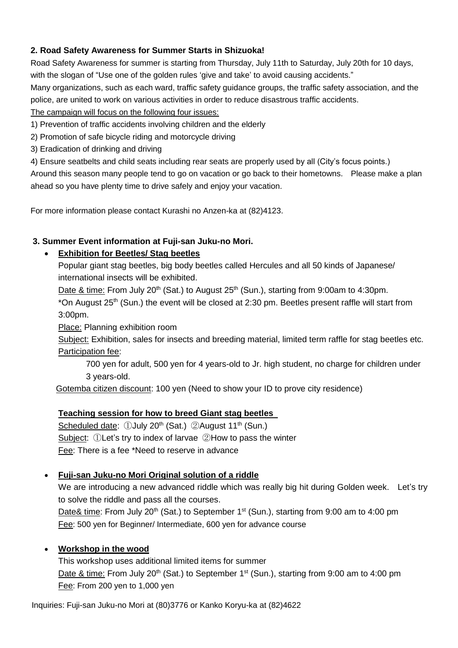## **2. Road Safety Awareness for Summer Starts in Shizuoka!**

Road Safety Awareness for summer is starting from Thursday, July 11th to Saturday, July 20th for 10 days, with the slogan of "Use one of the golden rules 'give and take' to avoid causing accidents."

Many organizations, such as each ward, traffic safety guidance groups, the traffic safety association, and the police, are united to work on various activities in order to reduce disastrous traffic accidents.

The campaign will focus on the following four issues:

- 1) Prevention of traffic accidents involving children and the elderly
- 2) Promotion of safe bicycle riding and motorcycle driving
- 3) Eradication of drinking and driving
- 4) Ensure seatbelts and child seats including rear seats are properly used by all (City's focus points.)

Around this season many people tend to go on vacation or go back to their hometowns. Please make a plan ahead so you have plenty time to drive safely and enjoy your vacation.

For more information please contact Kurashi no Anzen-ka at (82)4123.

#### **3. Summer Event information at Fuji-san Juku-no Mori.**

#### **Exhibition for Beetles/ Stag beetles**

Popular giant stag beetles, big body beetles called Hercules and all 50 kinds of Japanese/ international insects will be exhibited.

Date & time: From July 20<sup>th</sup> (Sat.) to August 25<sup>th</sup> (Sun.), starting from 9:00am to 4:30pm.

\*On August 25<sup>th</sup> (Sun.) the event will be closed at 2:30 pm. Beetles present raffle will start from 3:00pm.

Place: Planning exhibition room

Subject: Exhibition, sales for insects and breeding material, limited term raffle for stag beetles etc. Participation fee:

700 yen for adult, 500 yen for 4 years-old to Jr. high student, no charge for children under 3 years-old.

Gotemba citizen discount: 100 yen (Need to show your ID to prove city residence)

#### **Teaching session for how to breed Giant stag beetles**

Scheduled date: ①July 20<sup>th</sup> (Sat.) ②August 11<sup>th</sup> (Sun.) Subject: ①Let's try to index of larvae ②How to pass the winter Fee: There is a fee \*Need to reserve in advance

#### **Fuji-san Juku-no Mori Original solution of a riddle**

We are introducing a new advanced riddle which was really big hit during Golden week. Let's try to solve the riddle and pass all the courses.

Date& time: From July 20<sup>th</sup> (Sat.) to September 1<sup>st</sup> (Sun.), starting from 9:00 am to 4:00 pm Fee: 500 yen for Beginner/ Intermediate, 600 yen for advance course

#### **Workshop in the wood**

This workshop uses additional limited items for summer Date & time: From July 20<sup>th</sup> (Sat.) to September 1<sup>st</sup> (Sun.), starting from 9:00 am to 4:00 pm Fee: From 200 yen to 1,000 yen

Inquiries: Fuji-san Juku-no Mori at (80)3776 or Kanko Koryu-ka at (82)4622